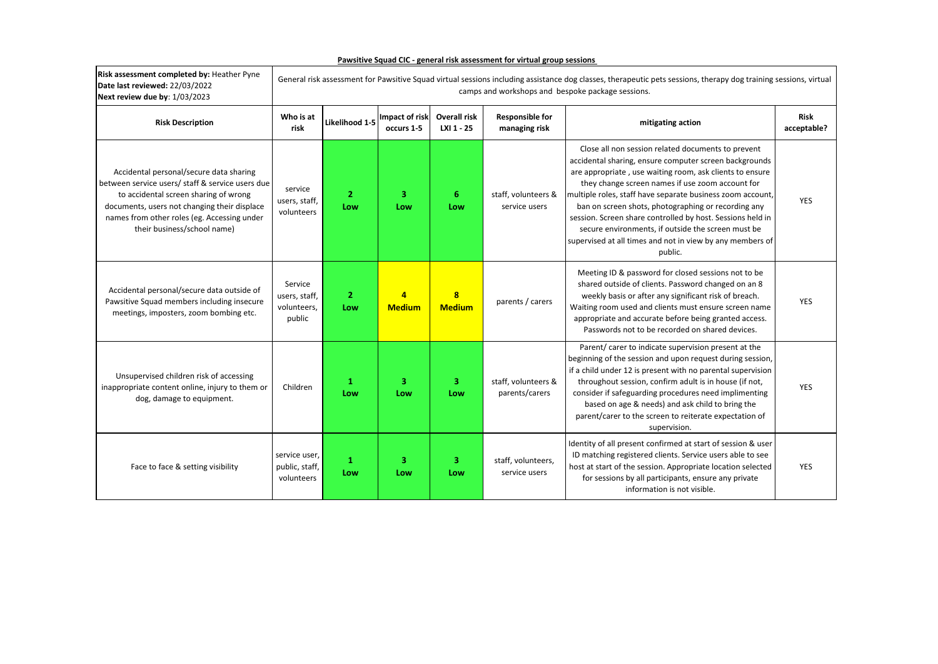| Risk assessment completed by: Heather Pyne<br>Date last reviewed: 22/03/2022<br>Next review due by: 1/03/2023                                                                                                                                                      | General risk assessment for Pawsitive Squad virtual sessions including assistance dog classes, therapeutic pets sessions, therapy dog training sessions, virtual<br>camps and workshops and bespoke package sessions. |                       |                                 |                                   |                                         |                                                                                                                                                                                                                                                                                                                                                                                                                                                                                                                                               |                            |  |  |  |
|--------------------------------------------------------------------------------------------------------------------------------------------------------------------------------------------------------------------------------------------------------------------|-----------------------------------------------------------------------------------------------------------------------------------------------------------------------------------------------------------------------|-----------------------|---------------------------------|-----------------------------------|-----------------------------------------|-----------------------------------------------------------------------------------------------------------------------------------------------------------------------------------------------------------------------------------------------------------------------------------------------------------------------------------------------------------------------------------------------------------------------------------------------------------------------------------------------------------------------------------------------|----------------------------|--|--|--|
| <b>Risk Description</b>                                                                                                                                                                                                                                            | Who is at<br>risk                                                                                                                                                                                                     | Likelihood 1-5        | Impact of risk<br>occurs 1-5    | <b>Overall risk</b><br>LXI 1 - 25 | <b>Responsible for</b><br>managing risk | mitigating action                                                                                                                                                                                                                                                                                                                                                                                                                                                                                                                             | <b>Risk</b><br>acceptable? |  |  |  |
| Accidental personal/secure data sharing<br>between service users/ staff & service users due<br>to accidental screen sharing of wrong<br>documents, users not changing their displace<br>names from other roles (eg. Accessing under<br>their business/school name) | service<br>users, staff,<br>volunteers                                                                                                                                                                                | $\overline{2}$<br>Low | 3<br>Low                        | 6<br>Low                          | staff, volunteers &<br>service users    | Close all non session related documents to prevent<br>accidental sharing, ensure computer screen backgrounds<br>are appropriate, use waiting room, ask clients to ensure<br>they change screen names if use zoom account for<br>multiple roles, staff have separate business zoom account,<br>ban on screen shots, photographing or recording any<br>session. Screen share controlled by host. Sessions held in<br>secure environments, if outside the screen must be<br>supervised at all times and not in view by any members of<br>public. | <b>YES</b>                 |  |  |  |
| Accidental personal/secure data outside of<br>Pawsitive Squad members including insecure<br>meetings, imposters, zoom bombing etc.                                                                                                                                 | Service<br>users, staff,<br>volunteers,<br>public                                                                                                                                                                     | $\mathbf{2}$<br>Low   | $\overline{4}$<br><b>Medium</b> | $\bf{8}$<br><b>Medium</b>         | parents / carers                        | Meeting ID & password for closed sessions not to be<br>shared outside of clients. Password changed on an 8<br>weekly basis or after any significant risk of breach.<br>Waiting room used and clients must ensure screen name<br>appropriate and accurate before being granted access.<br>Passwords not to be recorded on shared devices.                                                                                                                                                                                                      | <b>YES</b>                 |  |  |  |
| Unsupervised children risk of accessing<br>inappropriate content online, injury to them or<br>dog, damage to equipment.                                                                                                                                            | Children                                                                                                                                                                                                              | $\mathbf{1}$<br>Low   | $\overline{\mathbf{3}}$<br>Low  | 3<br>Low                          | staff, volunteers &<br>parents/carers   | Parent/ carer to indicate supervision present at the<br>beginning of the session and upon request during session,<br>if a child under 12 is present with no parental supervision<br>throughout session, confirm adult is in house (if not,<br>consider if safeguarding procedures need implimenting<br>based on age & needs) and ask child to bring the<br>parent/carer to the screen to reiterate expectation of<br>supervision.                                                                                                             | <b>YES</b>                 |  |  |  |
| Face to face & setting visibility                                                                                                                                                                                                                                  | service user,<br>public, staff,<br>volunteers                                                                                                                                                                         | $\mathbf{1}$<br>Low   | $\overline{\mathbf{3}}$<br>Low  | 3<br>Low                          | staff, volunteers,<br>service users     | Identity of all present confirmed at start of session & user<br>ID matching registered clients. Service users able to see<br>host at start of the session. Appropriate location selected<br>for sessions by all participants, ensure any private<br>information is not visible.                                                                                                                                                                                                                                                               | <b>YES</b>                 |  |  |  |

**Pawsitive Squad CIC - general risk assessment for virtual group sessions** 

 $\mathbf{r}$